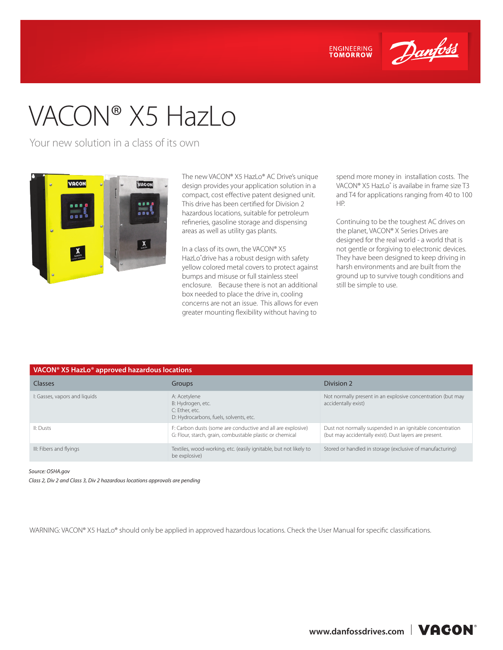

**ENGINEERING**<br>TOMORROW

# VACON® X5 HazLo

Your new solution in a class of its own



The new VACON® X5 HazLo® AC Drive's unique design provides your application solution in a compact, cost effective patent designed unit. This drive has been certified for Division 2 hazardous locations, suitable for petroleum refineries, gasoline storage and dispensing areas as well as utility gas plants.

In a class of its own, the VACON® X5 HazLo® drive has a robust design with safety yellow colored metal covers to protect against bumps and misuse or full stainless steel enclosure. Because there is not an additional box needed to place the drive in, cooling concerns are not an issue. This allows for even greater mounting flexibility without having to

spend more money in installation costs. The VACON® X5 HazLo® is availabe in frame size T3 and T4 for applications ranging from 40 to 100 HP.

Continuing to be the toughest AC drives on the planet, VACON® X Series Drives are designed for the real world - a world that is not gentle or forgiving to electronic devices. They have been designed to keep driving in harsh environments and are built from the ground up to survive tough conditions and still be simple to use.

| VACON <sup>®</sup> X5 HazLo <sup>®</sup> approved hazardous locations |                                                                                                                         |                                                                                                                     |  |  |  |
|-----------------------------------------------------------------------|-------------------------------------------------------------------------------------------------------------------------|---------------------------------------------------------------------------------------------------------------------|--|--|--|
| <b>Classes</b>                                                        | Groups                                                                                                                  | Division 2                                                                                                          |  |  |  |
| I: Gasses, vapors and liquids                                         | A: Acetylene<br>B: Hydrogen, etc.<br>C: Ether, etc.<br>D: Hydrocarbons, fuels, solvents, etc.                           | Not normally present in an explosive concentration (but may<br>accidentally exist)                                  |  |  |  |
| II: Dusts                                                             | F: Carbon dusts (some are conductive and all are explosive)<br>G: Flour, starch, grain, combustable plastic or chemical | Dust not normally suspended in an ignitable concentration<br>(but may accidentally exist). Dust layers are present. |  |  |  |
| III: Fibers and flyings                                               | Textiles, wood-working, etc. (easily ignitable, but not likely to<br>be explosive)                                      | Stored or handled in storage (exclusive of manufacturing)                                                           |  |  |  |

*Source: OSHA.gov* 

*Class 2, Div 2 and Class 3, Div 2 hazardous locations approvals are pending*

WARNING: VACON® X5 HazLo® should only be applied in approved hazardous locations. Check the User Manual for specific classifications.

www.danfossdrives.com | VACON<sup>o</sup>